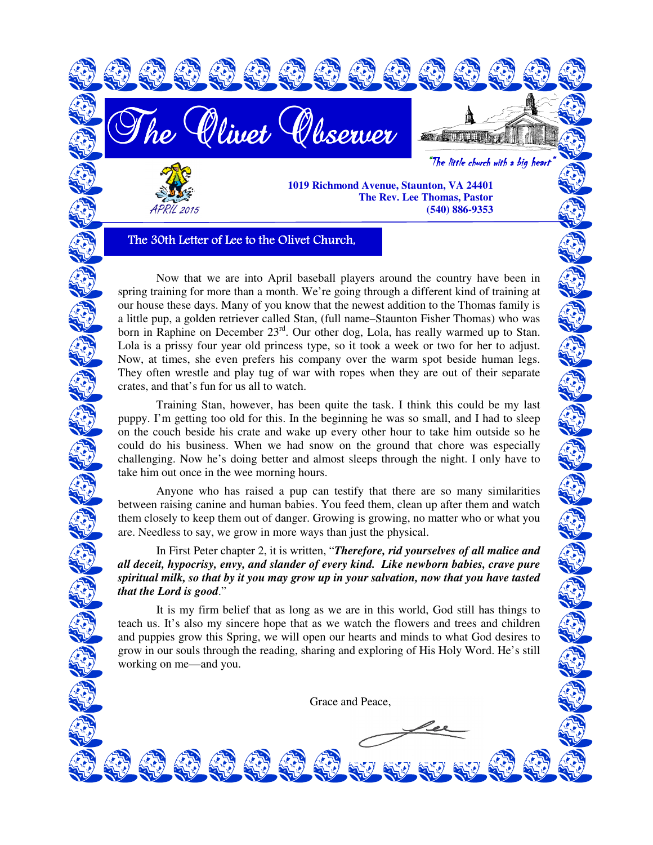

The 30th Letter of Lee to the Olivet Church,

Now that we are into April baseball players around the country have been in spring training for more than a month. We're going through a different kind of training at our house these days. Many of you know that the newest addition to the Thomas family is a little pup, a golden retriever called Stan, (full name–Staunton Fisher Thomas) who was born in Raphine on December  $23<sup>rd</sup>$ . Our other dog, Lola, has really warmed up to Stan. Lola is a prissy four year old princess type, so it took a week or two for her to adjust. Now, at times, she even prefers his company over the warm spot beside human legs. They often wrestle and play tug of war with ropes when they are out of their separate crates, and that's fun for us all to watch.

 Training Stan, however, has been quite the task. I think this could be my last puppy. I'm getting too old for this. In the beginning he was so small, and I had to sleep on the couch beside his crate and wake up every other hour to take him outside so he could do his business. When we had snow on the ground that chore was especially challenging. Now he's doing better and almost sleeps through the night. I only have to take him out once in the wee morning hours.

 Anyone who has raised a pup can testify that there are so many similarities between raising canine and human babies. You feed them, clean up after them and watch them closely to keep them out of danger. Growing is growing, no matter who or what you are. Needless to say, we grow in more ways than just the physical.

 In First Peter chapter 2, it is written, "*Therefore, rid yourselves of all malice and all deceit, hypocrisy, envy, and slander of every kind. Like newborn babies, crave pure spiritual milk, so that by it you may grow up in your salvation, now that you have tasted that the Lord is good*."

 It is my firm belief that as long as we are in this world, God still has things to teach us. It's also my sincere hope that as we watch the flowers and trees and children and puppies grow this Spring, we will open our hearts and minds to what God desires to grow in our souls through the reading, sharing and exploring of His Holy Word. He's still working on me—and you.

Grace and Peace,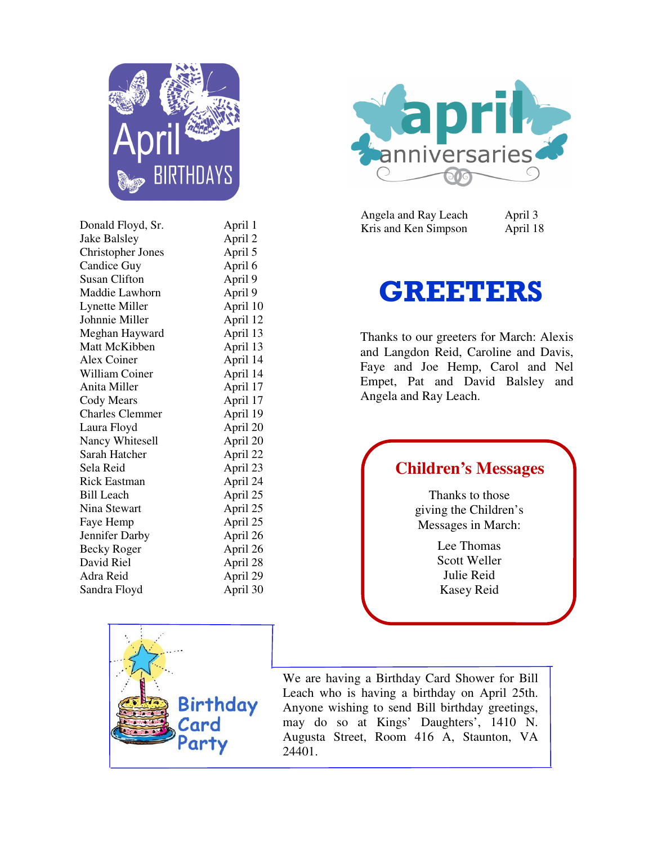

| Donald Floyd, Sr.        | April 1  |
|--------------------------|----------|
| Jake Balsley             | April 2  |
| <b>Christopher Jones</b> | April 5  |
| Candice Guy              | April 6  |
| <b>Susan Clifton</b>     | April 9  |
| Maddie Lawhorn           | April 9  |
| Lynette Miller           | April 10 |
| Johnnie Miller           | April 12 |
| Meghan Hayward           | April 13 |
| Matt McKibben            | April 13 |
| Alex Coiner              | April 14 |
| William Coiner           | April 14 |
| Anita Miller             | April 17 |
| <b>Cody Mears</b>        | April 17 |
| <b>Charles Clemmer</b>   | April 19 |
| Laura Floyd              | April 20 |
| Nancy Whitesell          | April 20 |
| Sarah Hatcher            | April 22 |
| Sela Reid                | April 23 |
| <b>Rick Eastman</b>      | April 24 |
| <b>Bill Leach</b>        | April 25 |
| Nina Stewart             | April 25 |
| Faye Hemp                | April 25 |
| Jennifer Darby           | April 26 |
| <b>Becky Roger</b>       | April 26 |
| David Riel               | April 28 |
| Adra Reid                | April 29 |
| Sandra Floyd             | April 30 |
|                          |          |



Angela and Ray Leach April 3 Kris and Ken Simpson April 18

## GREETERS

Thanks to our greeters for March: Alexis and Langdon Reid, Caroline and Davis, Faye and Joe Hemp, Carol and Nel Empet, Pat and David Balsley and Angela and Ray Leach.

## **Children's Messages**

Thanks to those giving the Children's Messages in March:

> Lee Thomas Scott Weller Julie Reid Kasey Reid



We are having a Birthday Card Shower for Bill Leach who is having a birthday on April 25th. Anyone wishing to send Bill birthday greetings, may do so at Kings' Daughters', 1410 N. Augusta Street, Room 416 A, Staunton, VA 24401.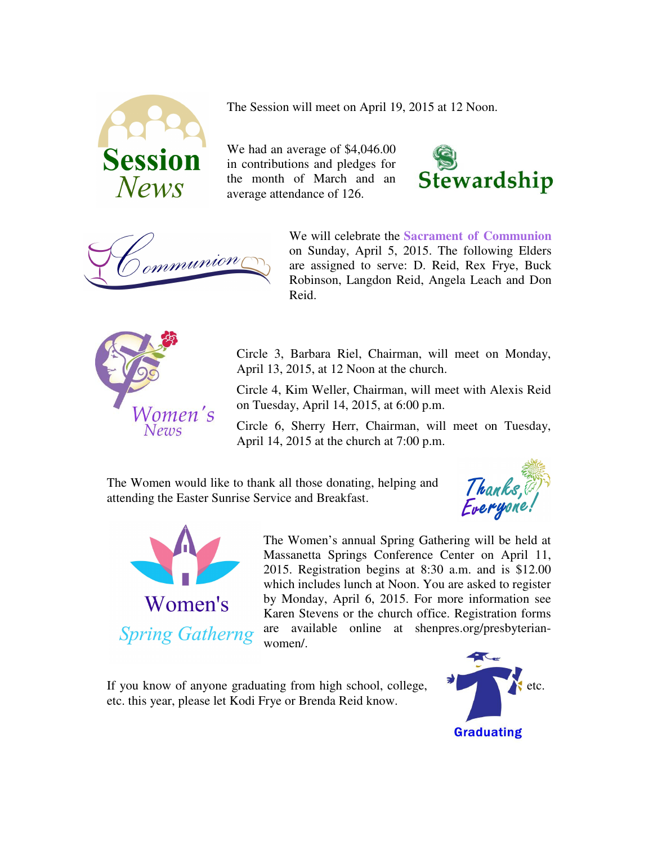

The Session will meet on April 19, 2015 at 12 Noon.

We had an average of \$4,046.00 in contributions and pledges for the month of March and an average attendance of 126.





We will celebrate the **Sacrament of Communion**  on Sunday, April 5, 2015. The following Elders are assigned to serve: D. Reid, Rex Frye, Buck Robinson, Langdon Reid, Angela Leach and Don Reid.



Circle 3, Barbara Riel, Chairman, will meet on Monday, April 13, 2015, at 12 Noon at the church.

Circle 4, Kim Weller, Chairman, will meet with Alexis Reid on Tuesday, April 14, 2015, at 6:00 p.m.

Circle 6, Sherry Herr, Chairman, will meet on Tuesday, April 14, 2015 at the church at 7:00 p.m.

The Women would like to thank all those donating, helping and attending the Easter Sunrise Service and Breakfast.





The Women's annual Spring Gathering will be held at Massanetta Springs Conference Center on April 11, 2015. Registration begins at 8:30 a.m. and is \$12.00 which includes lunch at Noon. You are asked to register by Monday, April 6, 2015. For more information see Karen Stevens or the church office. Registration forms are available online at shenpres.org/presbyterianwomen/.

If you know of anyone graduating from high school, college,  $\bullet$  etc. etc. this year, please let Kodi Frye or Brenda Reid know.